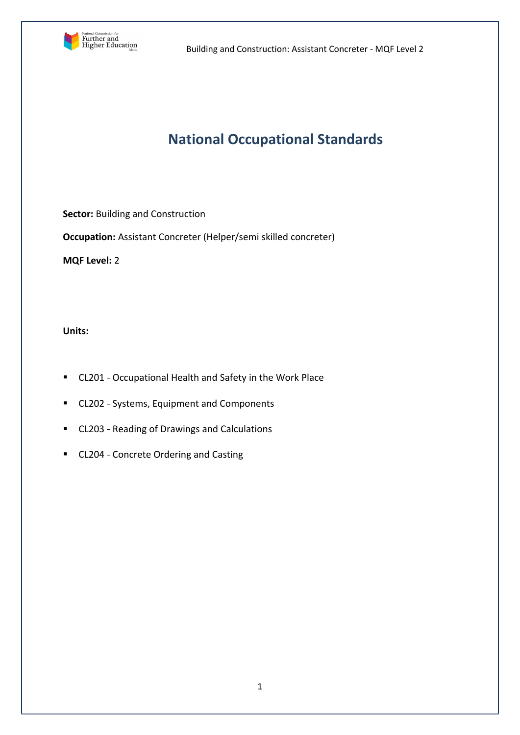

Building and Construction: Assistant Concreter - MQF Level 2

# **National Occupational Standards**

**Sector:** Building and Construction

**Occupation:** Assistant Concreter (Helper/semi skilled concreter)

**MQF Level:** 2

**Units:** 

- CL201 Occupational Health and Safety in the Work Place
- CL202 Systems, Equipment and Components
- CL203 Reading of Drawings and Calculations
- CL204 Concrete Ordering and Casting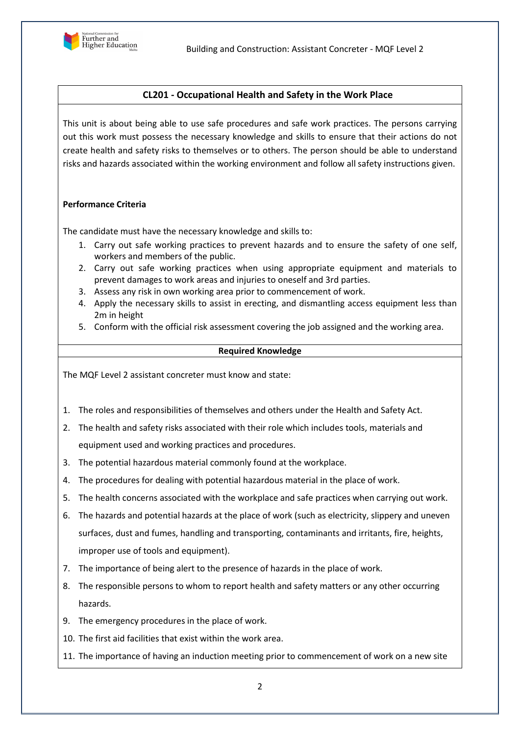

# **CL201 - Occupational Health and Safety in the Work Place**

This unit is about being able to use safe procedures and safe work practices. The persons carrying out this work must possess the necessary knowledge and skills to ensure that their actions do not create health and safety risks to themselves or to others. The person should be able to understand risks and hazards associated within the working environment and follow all safety instructions given.

# **Performance Criteria**

The candidate must have the necessary knowledge and skills to:

- 1. Carry out safe working practices to prevent hazards and to ensure the safety of one self, workers and members of the public.
- 2. Carry out safe working practices when using appropriate equipment and materials to prevent damages to work areas and injuries to oneself and 3rd parties.
- 3. Assess any risk in own working area prior to commencement of work.
- 4. Apply the necessary skills to assist in erecting, and dismantling access equipment less than 2m in height
- 5. Conform with the official risk assessment covering the job assigned and the working area.

#### **Required Knowledge**

The MQF Level 2 assistant concreter must know and state:

- 1. The roles and responsibilities of themselves and others under the Health and Safety Act.
- 2. The health and safety risks associated with their role which includes tools, materials and equipment used and working practices and procedures.
- 3. The potential hazardous material commonly found at the workplace.
- 4. The procedures for dealing with potential hazardous material in the place of work.
- 5. The health concerns associated with the workplace and safe practices when carrying out work.
- 6. The hazards and potential hazards at the place of work (such as electricity, slippery and uneven surfaces, dust and fumes, handling and transporting, contaminants and irritants, fire, heights, improper use of tools and equipment).
- 7. The importance of being alert to the presence of hazards in the place of work.
- 8. The responsible persons to whom to report health and safety matters or any other occurring hazards.
- 9. The emergency procedures in the place of work.
- 10. The first aid facilities that exist within the work area.
- 11. The importance of having an induction meeting prior to commencement of work on a new site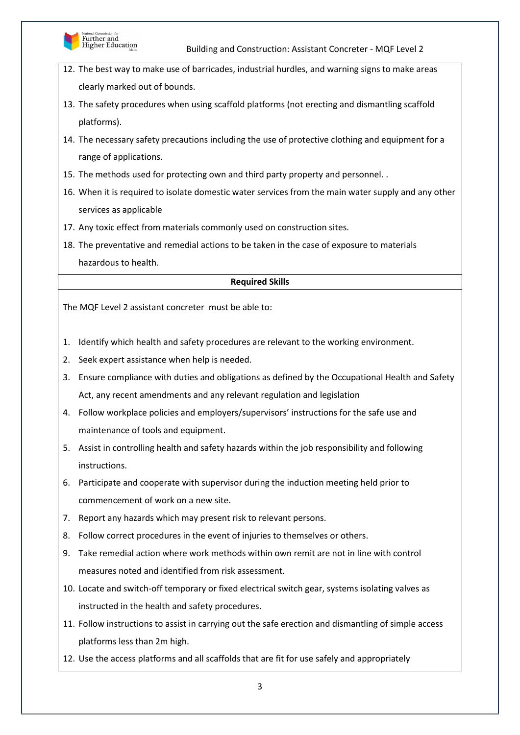

- 12. The best way to make use of barricades, industrial hurdles, and warning signs to make areas clearly marked out of bounds.
- 13. The safety procedures when using scaffold platforms (not erecting and dismantling scaffold platforms).
- 14. The necessary safety precautions including the use of protective clothing and equipment for a range of applications.
- 15. The methods used for protecting own and third party property and personnel. .
- 16. When it is required to isolate domestic water services from the main water supply and any other services as applicable
- 17. Any toxic effect from materials commonly used on construction sites.
- 18. The preventative and remedial actions to be taken in the case of exposure to materials hazardous to health.

# **Required Skills**

- 1. Identify which health and safety procedures are relevant to the working environment.
- 2. Seek expert assistance when help is needed.
- 3. Ensure compliance with duties and obligations as defined by the Occupational Health and Safety Act, any recent amendments and any relevant regulation and legislation
- 4. Follow workplace policies and employers/supervisors' instructions for the safe use and maintenance of tools and equipment.
- 5. Assist in controlling health and safety hazards within the job responsibility and following instructions.
- 6. Participate and cooperate with supervisor during the induction meeting held prior to commencement of work on a new site.
- 7. Report any hazards which may present risk to relevant persons.
- 8. Follow correct procedures in the event of injuries to themselves or others.
- 9. Take remedial action where work methods within own remit are not in line with control measures noted and identified from risk assessment.
- 10. Locate and switch-off temporary or fixed electrical switch gear, systems isolating valves as instructed in the health and safety procedures.
- 11. Follow instructions to assist in carrying out the safe erection and dismantling of simple access platforms less than 2m high.
- 12. Use the access platforms and all scaffolds that are fit for use safely and appropriately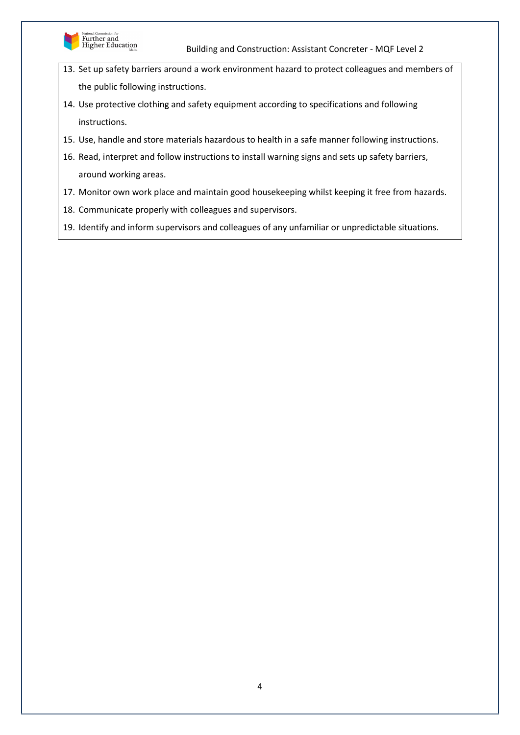

- 13. Set up safety barriers around a work environment hazard to protect colleagues and members of the public following instructions.
- 14. Use protective clothing and safety equipment according to specifications and following instructions.
- 15. Use, handle and store materials hazardous to health in a safe manner following instructions.
- 16. Read, interpret and follow instructions to install warning signs and sets up safety barriers, around working areas.
- 17. Monitor own work place and maintain good housekeeping whilst keeping it free from hazards.
- 18. Communicate properly with colleagues and supervisors.
- 19. Identify and inform supervisors and colleagues of any unfamiliar or unpredictable situations.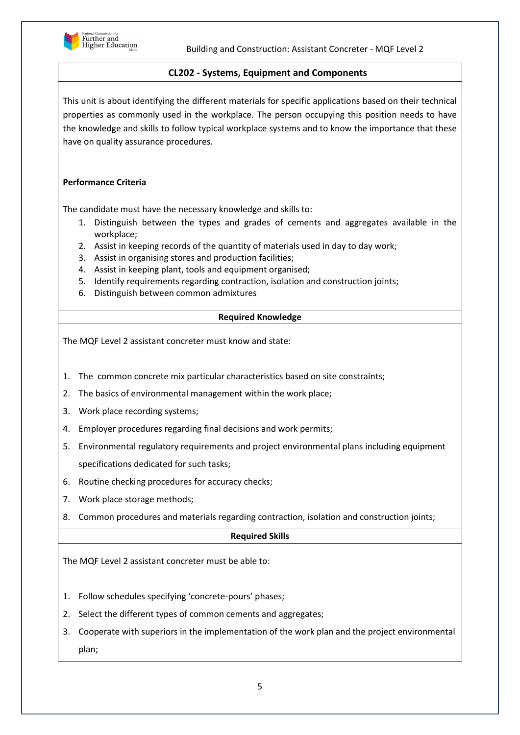

# **CL202 - Systems, Equipment and Components**

This unit is about identifying the different materials for specific applications based on their technical properties as commonly used in the workplace. The person occupying this position needs to have the knowledge and skills to follow typical workplace systems and to know the importance that these have on quality assurance procedures.

# **Performance Criteria**

The candidate must have the necessary knowledge and skills to:

- 1. Distinguish between the types and grades of cements and aggregates available in the workplace;
- 2. Assist in keeping records of the quantity of materials used in day to day work;
- 3. Assist in organising stores and production facilities;
- 4. Assist in keeping plant, tools and equipment organised;
- 5. Identify requirements regarding contraction, isolation and construction joints;
- 6. Distinguish between common admixtures

# **Required Knowledge**

The MQF Level 2 assistant concreter must know and state:

- 1. The common concrete mix particular characteristics based on site constraints;
- 2. The basics of environmental management within the work place;
- 3. Work place recording systems;
- 4. Employer procedures regarding final decisions and work permits;
- 5. Environmental regulatory requirements and project environmental plans including equipment specifications dedicated for such tasks;
- 6. Routine checking procedures for accuracy checks;
- 7. Work place storage methods;
- 8. Common procedures and materials regarding contraction, isolation and construction joints;

# **Required Skills**

- 1. Follow schedules specifying 'concrete-pours' phases;
- 2. Select the different types of common cements and aggregates;
- 3. Cooperate with superiors in the implementation of the work plan and the project environmental plan;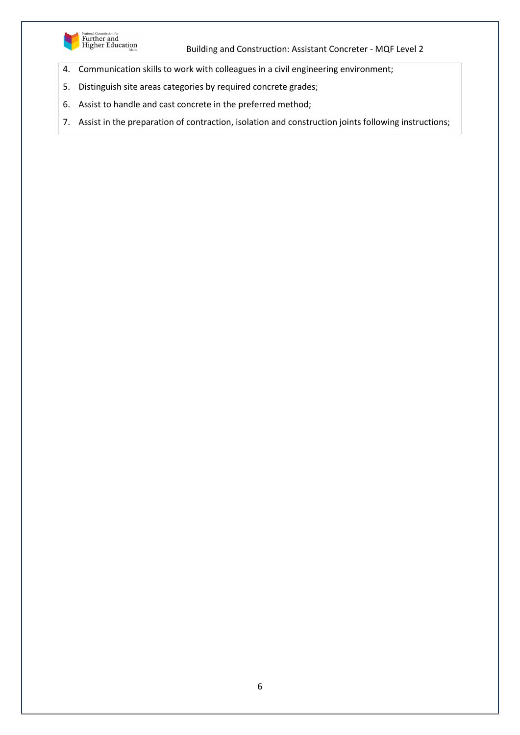

Building and Construction: Assistant Concreter - MQF Level 2

- 4. Communication skills to work with colleagues in a civil engineering environment;
- 5. Distinguish site areas categories by required concrete grades;
- 6. Assist to handle and cast concrete in the preferred method;
- 7. Assist in the preparation of contraction, isolation and construction joints following instructions;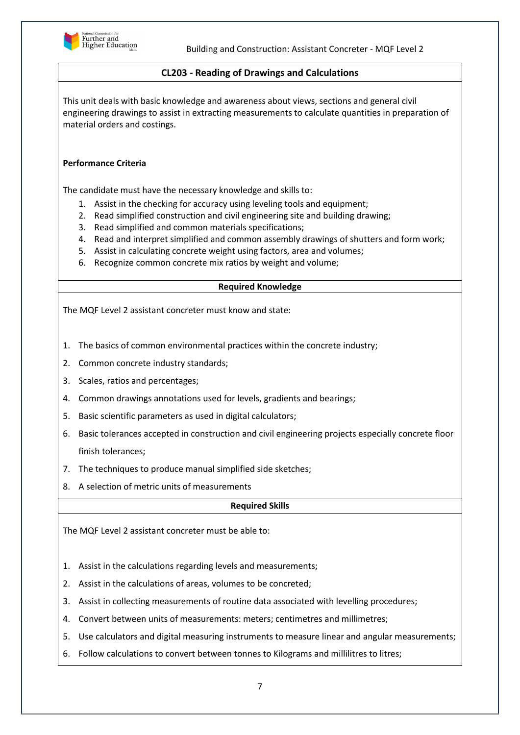

# **CL203 - Reading of Drawings and Calculations**

This unit deals with basic knowledge and awareness about views, sections and general civil engineering drawings to assist in extracting measurements to calculate quantities in preparation of material orders and costings.

# **Performance Criteria**

The candidate must have the necessary knowledge and skills to:

- 1. Assist in the checking for accuracy using leveling tools and equipment;
- 2. Read simplified construction and civil engineering site and building drawing;
- 3. Read simplified and common materials specifications;
- 4. Read and interpret simplified and common assembly drawings of shutters and form work;
- 5. Assist in calculating concrete weight using factors, area and volumes;
- 6. Recognize common concrete mix ratios by weight and volume;

#### **Required Knowledge**

The MQF Level 2 assistant concreter must know and state:

- 1. The basics of common environmental practices within the concrete industry;
- 2. Common concrete industry standards;
- 3. Scales, ratios and percentages;
- 4. Common drawings annotations used for levels, gradients and bearings;
- 5. Basic scientific parameters as used in digital calculators;
- 6. Basic tolerances accepted in construction and civil engineering projects especially concrete floor finish tolerances;
- 7. The techniques to produce manual simplified side sketches;
- 8. A selection of metric units of measurements

#### **Required Skills**

- 1. Assist in the calculations regarding levels and measurements;
- 2. Assist in the calculations of areas, volumes to be concreted;
- 3. Assist in collecting measurements of routine data associated with levelling procedures;
- 4. Convert between units of measurements: meters; centimetres and millimetres;
- 5. Use calculators and digital measuring instruments to measure linear and angular measurements;
- 6. Follow calculations to convert between tonnes to Kilograms and millilitres to litres;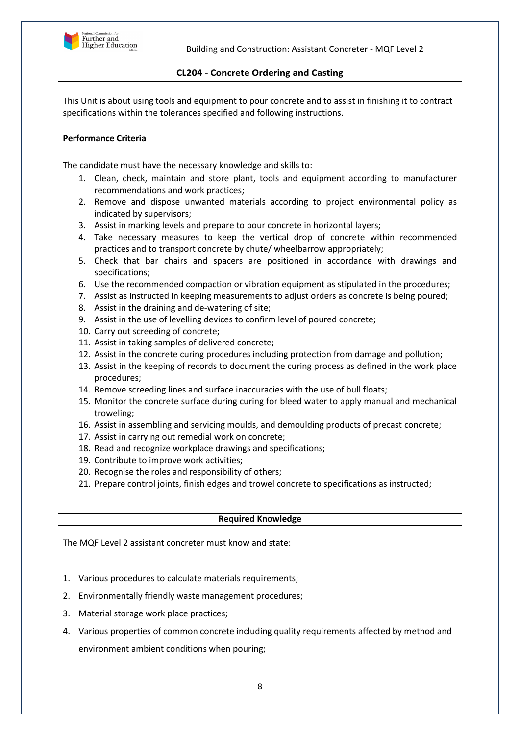

# **CL204 - Concrete Ordering and Casting**

This Unit is about using tools and equipment to pour concrete and to assist in finishing it to contract specifications within the tolerances specified and following instructions.

## **Performance Criteria**

The candidate must have the necessary knowledge and skills to:

- 1. Clean, check, maintain and store plant, tools and equipment according to manufacturer recommendations and work practices;
- 2. Remove and dispose unwanted materials according to project environmental policy as indicated by supervisors;
- 3. Assist in marking levels and prepare to pour concrete in horizontal layers;
- 4. Take necessary measures to keep the vertical drop of concrete within recommended practices and to transport concrete by chute/ wheelbarrow appropriately;
- 5. Check that bar chairs and spacers are positioned in accordance with drawings and specifications;
- 6. Use the recommended compaction or vibration equipment as stipulated in the procedures;
- 7. Assist as instructed in keeping measurements to adjust orders as concrete is being poured;
- 8. Assist in the draining and de-watering of site;
- 9. Assist in the use of levelling devices to confirm level of poured concrete;
- 10. Carry out screeding of concrete;
- 11. Assist in taking samples of delivered concrete;
- 12. Assist in the concrete curing procedures including protection from damage and pollution;
- 13. Assist in the keeping of records to document the curing process as defined in the work place procedures;
- 14. Remove screeding lines and surface inaccuracies with the use of bull floats;
- 15. Monitor the concrete surface during curing for bleed water to apply manual and mechanical troweling;
- 16. Assist in assembling and servicing moulds, and demoulding products of precast concrete;
- 17. Assist in carrying out remedial work on concrete;
- 18. Read and recognize workplace drawings and specifications;
- 19. Contribute to improve work activities;
- 20. Recognise the roles and responsibility of others;
- 21. Prepare control joints, finish edges and trowel concrete to specifications as instructed;

#### **Required Knowledge**

The MQF Level 2 assistant concreter must know and state:

- 1. Various procedures to calculate materials requirements;
- 2. Environmentally friendly waste management procedures;
- 3. Material storage work place practices;
- 4. Various properties of common concrete including quality requirements affected by method and environment ambient conditions when pouring;